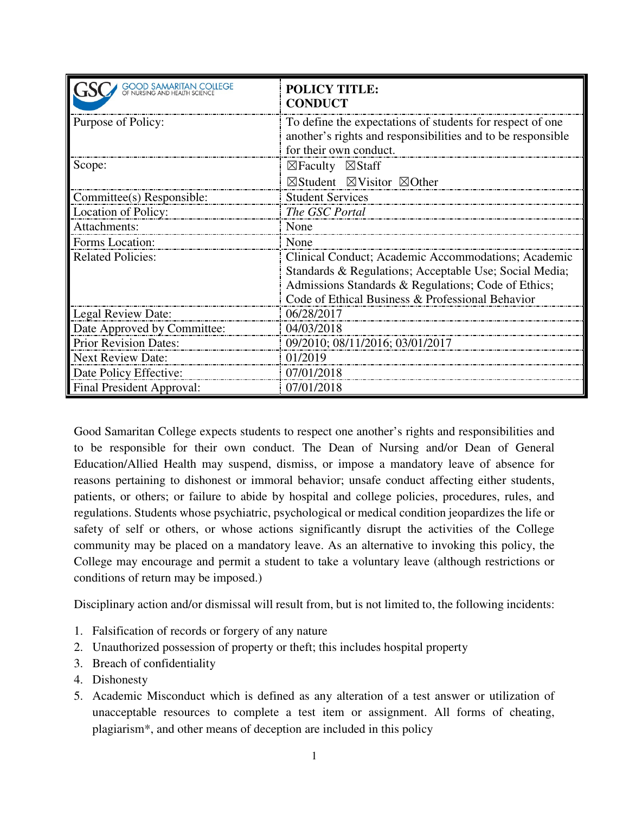| <b>GOOD SAMARITAN COLLEGE</b><br>OF NURSING AND HEALTH SCIENCE | <b>POLICY TITLE:</b><br><b>CONDUCT</b>                                                                                                                                                                                   |
|----------------------------------------------------------------|--------------------------------------------------------------------------------------------------------------------------------------------------------------------------------------------------------------------------|
| Purpose of Policy:                                             | To define the expectations of students for respect of one.<br>another's rights and responsibilities and to be responsible<br>for their own conduct.                                                                      |
| Scope:                                                         | $\boxtimes$ Faculty $\boxtimes$ Staff<br>$\boxtimes$ Student $\boxtimes$ Visitor $\boxtimes$ Other                                                                                                                       |
| Committee(s) Responsible:                                      | <b>Student Services</b>                                                                                                                                                                                                  |
| Location of Policy:                                            | The GSC Portal                                                                                                                                                                                                           |
| Attachments:                                                   | None                                                                                                                                                                                                                     |
| Forms Location:                                                | None                                                                                                                                                                                                                     |
| <b>Related Policies:</b>                                       | Clinical Conduct; Academic Accommodations; Academic<br>Standards & Regulations; Acceptable Use; Social Media;<br>Admissions Standards & Regulations; Code of Ethics;<br>Code of Ethical Business & Professional Behavior |
| Legal Review Date:                                             | 06/28/2017                                                                                                                                                                                                               |
| Date Approved by Committee:                                    | 04/03/2018                                                                                                                                                                                                               |
| <b>Prior Revision Dates:</b>                                   | 09/2010; 08/11/2016; 03/01/2017                                                                                                                                                                                          |
| <b>Next Review Date:</b>                                       | 01/2019                                                                                                                                                                                                                  |
| Date Policy Effective:                                         | 07/01/2018                                                                                                                                                                                                               |
| Final President Approval:                                      | 07/01/2018                                                                                                                                                                                                               |

Good Samaritan College expects students to respect one another's rights and responsibilities and to be responsible for their own conduct. The Dean of Nursing and/or Dean of General Education/Allied Health may suspend, dismiss, or impose a mandatory leave of absence for reasons pertaining to dishonest or immoral behavior; unsafe conduct affecting either students, patients, or others; or failure to abide by hospital and college policies, procedures, rules, and regulations. Students whose psychiatric, psychological or medical condition jeopardizes the life or safety of self or others, or whose actions significantly disrupt the activities of the College community may be placed on a mandatory leave. As an alternative to invoking this policy, the College may encourage and permit a student to take a voluntary leave (although restrictions or conditions of return may be imposed.)

Disciplinary action and/or dismissal will result from, but is not limited to, the following incidents:

- 1. Falsification of records or forgery of any nature
- 2. Unauthorized possession of property or theft; this includes hospital property
- 3. Breach of confidentiality
- 4. Dishonesty
- 5. Academic Misconduct which is defined as any alteration of a test answer or utilization of unacceptable resources to complete a test item or assignment. All forms of cheating, plagiarism\*, and other means of deception are included in this policy